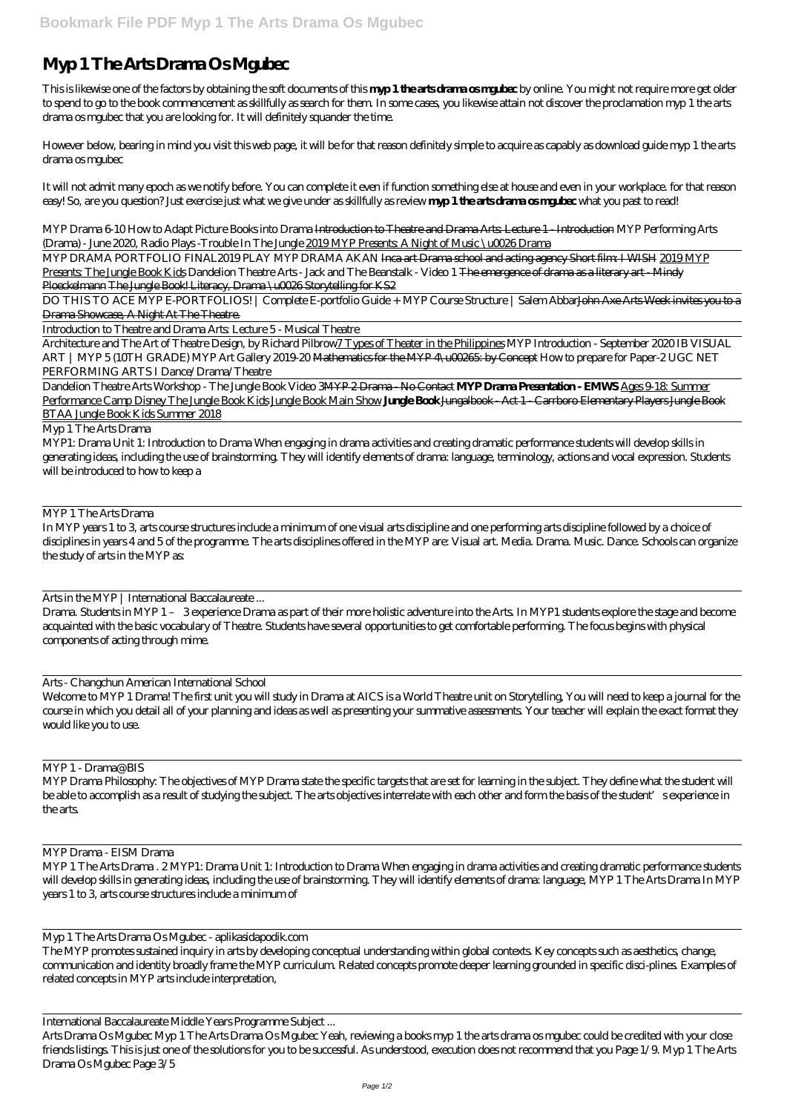# **Myp 1 The Arts Drama Os Mgubec**

This is likewise one of the factors by obtaining the soft documents of this **myp 1 the arts drama os mgubec** by online. You might not require more get older to spend to go to the book commencement as skillfully as search for them. In some cases, you likewise attain not discover the proclamation myp 1 the arts drama os mgubec that you are looking for. It will definitely squander the time.

However below, bearing in mind you visit this web page, it will be for that reason definitely simple to acquire as capably as download guide myp 1 the arts drama os mgubec

MYP DRAMA PORTFOLIO FINAL*2019 PLAY MYP DRAMA AKAN* Inca art Drama school and acting agency Short film: I WISH 2019 MYP Presents: The Jungle Book Kids *Dandelion Theatre Arts - Jack and The Beanstalk - Video 1* The emergence of drama as a literary art - Mindy Ploeckelmann The Jungle Book! Literacy, Drama \u0026 Storytelling for KS2

It will not admit many epoch as we notify before. You can complete it even if function something else at house and even in your workplace. for that reason easy! So, are you question? Just exercise just what we give under as skillfully as review **myp 1 the arts drama os mgubec** what you past to read!

DO THIS TO ACE MYP E-PORTFOLIOS! | Complete E-portfolio Guide + MYP Course Structure | Salem Abbar<del>John Axe Arts Week invites you to a</del> Drama Showcase, A Night At The Theatre.

*MYP Drama 6-10 How to Adapt Picture Books into Drama* Introduction to Theatre and Drama Arts: Lecture 1 - Introduction MYP Performing Arts (Drama) - June 2020, Radio Plays -Trouble In The Jungle 2019 MYP Presents: A Night of Music \u0026 Drama

Introduction to Theatre and Drama Arts: Lecture 5 - Musical Theatre

Architecture and The Art of Theatre Design, by Richard Pilbrow7 Types of Theater in the Philippines *MYP Introduction - September 2020 IB VISUAL ART | MYP 5 (10TH GRADE)* MYP Art Gallery 2019-20 Mathematics for the MYP 4\u00265: by Concept *How to prepare for Paper-2 UGC NET PERFORMING ARTS I Dance/Drama/Theatre*

Dandelion Theatre Arts Workshop - The Jungle Book Video 3MYP 2 Drama - No Contact **MYP Drama Presentation - EMWS** Ages 9-18: Summer Performance Camp Disney The Jungle Book Kids Jungle Book Main Show **Jungle Book** Jungalbook - Act 1 - Carrboro Elementary Players Jungle Book BTAA Jungle Book Kids Summer 2018

Myp 1 The Arts Drama

MYP1: Drama Unit 1: Introduction to Drama When engaging in drama activities and creating dramatic performance students will develop skills in generating ideas, including the use of brainstorming. They will identify elements of drama: language, terminology, actions and vocal expression. Students will be introduced to how to keep a

MYP 1 The Arts Drama

In MYP years 1 to 3, arts course structures include a minimum of one visual arts discipline and one performing arts discipline followed by a choice of disciplines in years 4 and 5 of the programme. The arts disciplines offered in the MYP are: Visual art. Media. Drama. Music. Dance. Schools can organize the study of arts in the MYP as:

Arts in the MYP | International Baccalaureate ...

Drama. Students in MYP 1 – 3 experience Drama as part of their more holistic adventure into the Arts. In MYP1 students explore the stage and become acquainted with the basic vocabulary of Theatre. Students have several opportunities to get comfortable performing. The focus begins with physical components of acting through mime.

Arts - Changchun American International School

Welcome to MYP 1 Drama! The first unit you will study in Drama at AICS is a World Theatre unit on Storytelling, You will need to keep a journal for the course in which you detail all of your planning and ideas as well as presenting your summative assessments. Your teacher will explain the exact format they would like you to use.

MYP 1 - Drama@BIS

MYP Drama Philosophy: The objectives of MYP Drama state the specific targets that are set for learning in the subject. They define what the student will be able to accomplish as a result of studying the subject. The arts objectives interrelate with each other and form the basis of the student's experience in the arts.

#### MYP Drama - EISM Drama

MYP 1 The Arts Drama . 2 MYP1: Drama Unit 1: Introduction to Drama When engaging in drama activities and creating dramatic performance students will develop skills in generating ideas, including the use of brainstorming. They will identify elements of drama: language, MYP 1 The Arts Drama In MYP years 1 to 3, arts course structures include a minimum of

Myp 1 The Arts Drama Os Mgubec - aplikasidapodik.com The MYP promotes sustained inquiry in arts by developing conceptual understanding within global contexts. Key concepts such as aesthetics, change, communication and identity broadly frame the MYP curriculum. Related concepts promote deeper learning grounded in specific disci-plines. Examples of related concepts in MYP arts include interpretation,

International Baccalaureate Middle Years Programme Subject ...

Arts Drama Os Mgubec Myp 1 The Arts Drama Os Mgubec Yeah, reviewing a books myp 1 the arts drama os mgubec could be credited with your close friends listings. This is just one of the solutions for you to be successful. As understood, execution does not recommend that you Page 1/9. Myp 1 The Arts Drama Os Mgubec Page 3/5